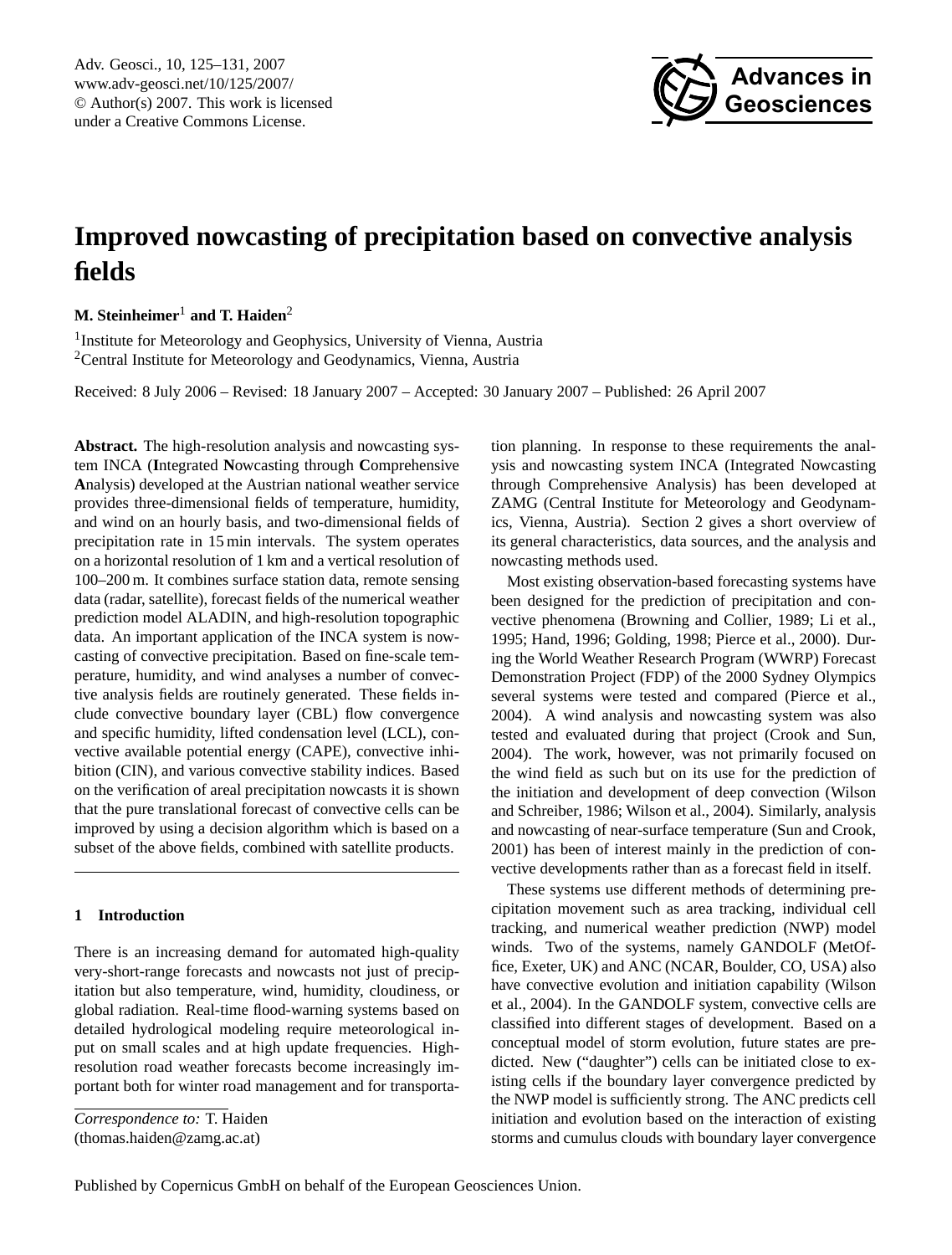<span id="page-0-0"></span>Adv. Geosci., 10, 125–131, 2007 www.adv-geosci.net/10/125/2007/ © Author(s) 2007. This work is licensed under a Creative Commons License.



# **Improved nowcasting of precipitation based on convective analysis fields**

## **M. Steinheimer**<sup>1</sup> **and T. Haiden**<sup>2</sup>

<sup>1</sup> Institute for Meteorology and Geophysics, University of Vienna, Austria <sup>2</sup>Central Institute for Meteorology and Geodynamics, Vienna, Austria

Received: 8 July 2006 – Revised: 18 January 2007 – Accepted: 30 January 2007 – Published: 26 April 2007

**Abstract.** The high-resolution analysis and nowcasting system INCA (**I**ntegrated **N**owcasting through **C**omprehensive **A**nalysis) developed at the Austrian national weather service provides three-dimensional fields of temperature, humidity, and wind on an hourly basis, and two-dimensional fields of precipitation rate in 15 min intervals. The system operates on a horizontal resolution of 1 km and a vertical resolution of 100–200 m. It combines surface station data, remote sensing data (radar, satellite), forecast fields of the numerical weather prediction model ALADIN, and high-resolution topographic data. An important application of the INCA system is nowcasting of convective precipitation. Based on fine-scale temperature, humidity, and wind analyses a number of convective analysis fields are routinely generated. These fields include convective boundary layer (CBL) flow convergence and specific humidity, lifted condensation level (LCL), convective available potential energy (CAPE), convective inhibition (CIN), and various convective stability indices. Based on the verification of areal precipitation nowcasts it is shown that the pure translational forecast of convective cells can be improved by using a decision algorithm which is based on a subset of the above fields, combined with satellite products.

### **1 Introduction**

There is an increasing demand for automated high-quality very-short-range forecasts and nowcasts not just of precipitation but also temperature, wind, humidity, cloudiness, or global radiation. Real-time flood-warning systems based on detailed hydrological modeling require meteorological input on small scales and at high update frequencies. Highresolution road weather forecasts become increasingly important both for winter road management and for transporta-

*Correspondence to:* T. Haiden

(thomas.haiden@zamg.ac.at)

tion planning. In response to these requirements the analysis and nowcasting system INCA (Integrated Nowcasting through Comprehensive Analysis) has been developed at ZAMG (Central Institute for Meteorology and Geodynamics, Vienna, Austria). Section [2](#page-1-0) gives a short overview of its general characteristics, data sources, and the analysis and nowcasting methods used.

Most existing observation-based forecasting systems have been designed for the prediction of precipitation and convective phenomena [\(Browning and Collier,](#page-6-0) [1989;](#page-6-0) [Li et al.,](#page-6-1) [1995;](#page-6-1) [Hand,](#page-6-2) [1996;](#page-6-2) [Golding,](#page-6-3) [1998;](#page-6-3) [Pierce et al.,](#page-6-4) [2000\)](#page-6-4). During the World Weather Research Program (WWRP) Forecast Demonstration Project (FDP) of the 2000 Sydney Olympics several systems were tested and compared [\(Pierce et al.,](#page-6-5) [2004\)](#page-6-5). A wind analysis and nowcasting system was also tested and evaluated during that project [\(Crook and Sun,](#page-6-6) [2004\)](#page-6-6). The work, however, was not primarily focused on the wind field as such but on its use for the prediction of the initiation and development of deep convection [\(Wilson](#page-6-7) [and Schreiber,](#page-6-7) [1986;](#page-6-7) [Wilson et al.,](#page-6-8) [2004\)](#page-6-8). Similarly, analysis and nowcasting of near-surface temperature [\(Sun and Crook,](#page-6-9) [2001\)](#page-6-9) has been of interest mainly in the prediction of convective developments rather than as a forecast field in itself.

These systems use different methods of determining precipitation movement such as area tracking, individual cell tracking, and numerical weather prediction (NWP) model winds. Two of the systems, namely GANDOLF (MetOffice, Exeter, UK) and ANC (NCAR, Boulder, CO, USA) also have convective evolution and initiation capability [\(Wilson](#page-6-8) [et al.,](#page-6-8) [2004\)](#page-6-8). In the GANDOLF system, convective cells are classified into different stages of development. Based on a conceptual model of storm evolution, future states are predicted. New ("daughter") cells can be initiated close to existing cells if the boundary layer convergence predicted by the NWP model is sufficiently strong. The ANC predicts cell initiation and evolution based on the interaction of existing storms and cumulus clouds with boundary layer convergence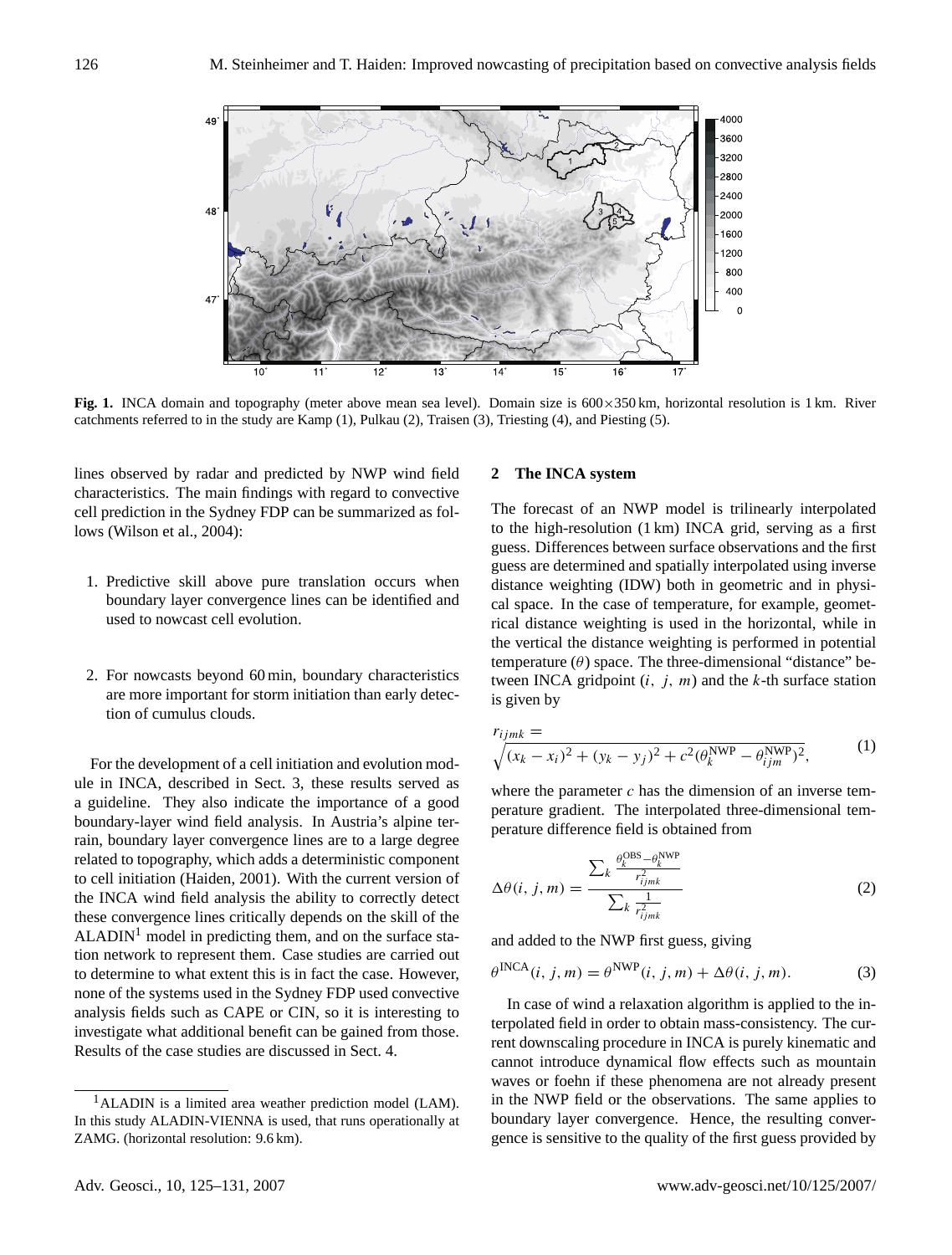

<span id="page-1-2"></span>**Fig. 1.** INCA domain and topography (meter above mean sea level). Domain size is 600×350 km, horizontal resolution is 1 km. River catchments referred to in the study are Kamp (1), Pulkau (2), Traisen (3), Triesting (4), and Piesting (5).

lines observed by radar and predicted by NWP wind field characteristics. The main findings with regard to convective cell prediction in the Sydney FDP can be summarized as follows [\(Wilson et al.,](#page-6-8) [2004\)](#page-6-8):

- 1. Predictive skill above pure translation occurs when boundary layer convergence lines can be identified and used to nowcast cell evolution.
- 2. For nowcasts beyond 60 min, boundary characteristics are more important for storm initiation than early detection of cumulus clouds.

For the development of a cell initiation and evolution module in INCA, described in Sect. [3,](#page-2-0) these results served as a guideline. They also indicate the importance of a good boundary-layer wind field analysis. In Austria's alpine terrain, boundary layer convergence lines are to a large degree related to topography, which adds a deterministic component to cell initiation [\(Haiden,](#page-6-10) [2001\)](#page-6-10). With the current version of the INCA wind field analysis the ability to correctly detect these convergence lines critically depends on the skill of the  $ALADIN<sup>1</sup>$  $ALADIN<sup>1</sup>$  $ALADIN<sup>1</sup>$  model in predicting them, and on the surface station network to represent them. Case studies are carried out to determine to what extent this is in fact the case. However, none of the systems used in the Sydney FDP used convective analysis fields such as CAPE or CIN, so it is interesting to investigate what additional benefit can be gained from those. Results of the case studies are discussed in Sect. [4.](#page-4-0)

## <span id="page-1-0"></span>**2 The INCA system**

The forecast of an NWP model is trilinearly interpolated to the high-resolution (1 km) INCA grid, serving as a first guess. Differences between surface observations and the first guess are determined and spatially interpolated using inverse distance weighting (IDW) both in geometric and in physical space. In the case of temperature, for example, geometrical distance weighting is used in the horizontal, while in the vertical the distance weighting is performed in potential temperature  $(\theta)$  space. The three-dimensional "distance" between INCA gridpoint  $(i, j, m)$  and the k-th surface station is given by

$$
r_{ijmk} = \sqrt{(x_k - x_i)^2 + (y_k - y_j)^2 + c^2 (\theta_k^{\text{NWP}} - \theta_{ijm}^{\text{NWP}})^2},
$$
 (1)

where the parameter  $c$  has the dimension of an inverse temperature gradient. The interpolated three-dimensional temperature difference field is obtained from

$$
\Delta\theta(i,j,m) = \frac{\sum_{k} \frac{\theta_k^{\text{OBS}} - \theta_k^{\text{NWP}}}{r_{ijmk}^2}}{\sum_{k} \frac{1}{r_{ijmk}^2}}
$$
(2)

and added to the NWP first guess, giving

$$
\theta^{\text{INCA}}(i, j, m) = \theta^{\text{NWP}}(i, j, m) + \Delta\theta(i, j, m). \tag{3}
$$

In case of wind a relaxation algorithm is applied to the interpolated field in order to obtain mass-consistency. The current downscaling procedure in INCA is purely kinematic and cannot introduce dynamical flow effects such as mountain waves or foehn if these phenomena are not already present in the NWP field or the observations. The same applies to boundary layer convergence. Hence, the resulting convergence is sensitive to the quality of the first guess provided by

<span id="page-1-1"></span><sup>1</sup>ALADIN is a limited area weather prediction model (LAM). In this study ALADIN-VIENNA is used, that runs operationally at ZAMG. (horizontal resolution: 9.6 km).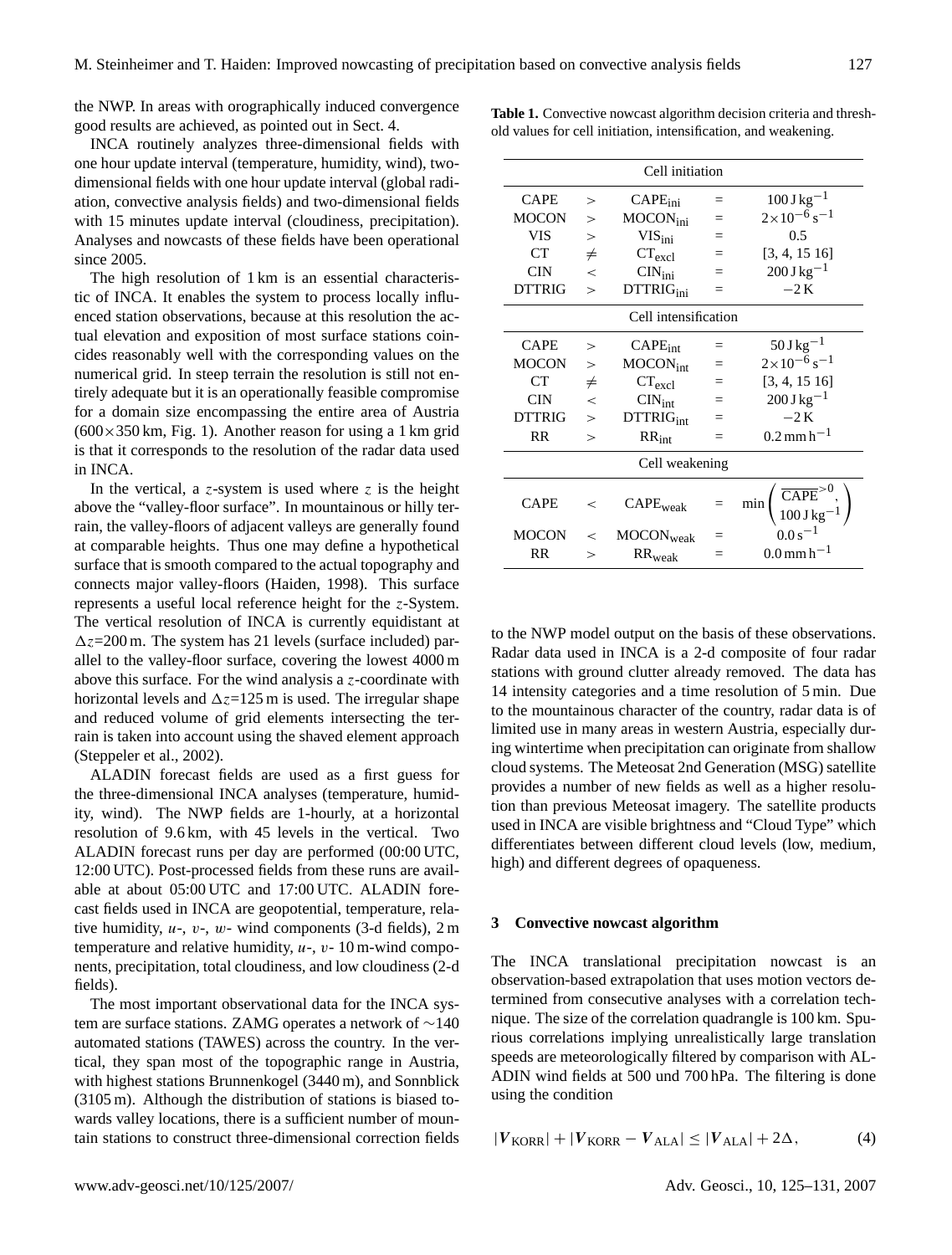the NWP. In areas with orographically induced convergence good results are achieved, as pointed out in Sect. [4.](#page-4-0)

INCA routinely analyzes three-dimensional fields with one hour update interval (temperature, humidity, wind), twodimensional fields with one hour update interval (global radiation, convective analysis fields) and two-dimensional fields with 15 minutes update interval (cloudiness, precipitation). Analyses and nowcasts of these fields have been operational since 2005.

The high resolution of 1 km is an essential characteristic of INCA. It enables the system to process locally influenced station observations, because at this resolution the actual elevation and exposition of most surface stations coincides reasonably well with the corresponding values on the numerical grid. In steep terrain the resolution is still not entirely adequate but it is an operationally feasible compromise for a domain size encompassing the entire area of Austria  $(600 \times 350 \text{ km}, \text{Fig. 1}).$  Another reason for using a 1 km grid is that it corresponds to the resolution of the radar data used in INCA.

In the vertical, a z-system is used where z is the height above the "valley-floor surface". In mountainous or hilly terrain, the valley-floors of adjacent valleys are generally found at comparable heights. Thus one may define a hypothetical surface that is smooth compared to the actual topography and connects major valley-floors [\(Haiden,](#page-6-11) [1998\)](#page-6-11). This surface represents a useful local reference height for the z-System. The vertical resolution of INCA is currently equidistant at  $\Delta z$ =200 m. The system has 21 levels (surface included) parallel to the valley-floor surface, covering the lowest 4000 m above this surface. For the wind analysis a  $z$ -coordinate with horizontal levels and  $\Delta z$ =125 m is used. The irregular shape and reduced volume of grid elements intersecting the terrain is taken into account using the shaved element approach [\(Steppeler et al.,](#page-6-12) [2002\)](#page-6-12).

ALADIN forecast fields are used as a first guess for the three-dimensional INCA analyses (temperature, humidity, wind). The NWP fields are 1-hourly, at a horizontal resolution of 9.6 km, with 45 levels in the vertical. Two ALADIN forecast runs per day are performed (00:00 UTC, 12:00 UTC). Post-processed fields from these runs are available at about 05:00 UTC and 17:00 UTC. ALADIN forecast fields used in INCA are geopotential, temperature, relative humidity,  $u$ -,  $v$ -,  $w$ - wind components (3-d fields), 2 m temperature and relative humidity,  $u-$ ,  $v-$  10 m-wind components, precipitation, total cloudiness, and low cloudiness (2-d fields).

The most important observational data for the INCA system are surface stations. ZAMG operates a network of ∼140 automated stations (TAWES) across the country. In the vertical, they span most of the topographic range in Austria, with highest stations Brunnenkogel (3440 m), and Sonnblick (3105 m). Although the distribution of stations is biased towards valley locations, there is a sufficient number of mountain stations to construct three-dimensional correction fields

| Cell initiation      |                |                              |     |                                                                        |
|----------------------|----------------|------------------------------|-----|------------------------------------------------------------------------|
| CAPE                 | $\geq$         | $CAPE_{\text{ini}}$          | $=$ | $100 \,\mathrm{J\,kg^{-1}}$                                            |
| <b>MOCON</b>         | $\geq$         | MOCON <sub>ini</sub>         | $=$ | $2\times10^{-6}$ s <sup>-1</sup>                                       |
| <b>VIS</b>           | $\geq$         | VIS <sub>ini</sub>           | $=$ | 0.5                                                                    |
| <b>CT</b>            | $\neq$         | CT <sub>excl</sub>           | $=$ | [3, 4, 15, 16]                                                         |
| <b>CIN</b>           | $\overline{<}$ | $\text{CIN}_{\text{ini}}$    | $=$ | $200 \,\mathrm{J} \,\mathrm{kg}^{-1}$                                  |
| <b>DTTRIG</b>        | $\geq$         | DTTRIG <sub>ini</sub>        | $=$ | $-2K$                                                                  |
| Cell intensification |                |                              |     |                                                                        |
| CAPE                 | $\geq$         | $CAPE_{int}$                 | $=$ | $50 \,\mathrm{J\,kg^{-1}}$                                             |
| <b>MOCON</b>         | $\geq$         | MOCON <sub>int</sub>         |     | $2 \times 10^{-6}$ s <sup>-1</sup>                                     |
| CT                   | $\neq$         | $CT_{\text{excl}}$           | $=$ | [3, 4, 15, 16]                                                         |
| <b>CIN</b>           | $\lt$          | $\text{CIN}_{\text{int}}$    | $=$ | $200 \,\mathrm{J\,kg^{-1}}$                                            |
| <b>DTTRIG</b>        | $\geq$         | <b>DTTRIG</b> <sub>int</sub> | $=$ | $-2K$                                                                  |
| <b>RR</b>            | $\mathbf{I}$   | $RR_{int}$                   | =   | $0.2 \,\mathrm{mm}\,\mathrm{h}^{-1}$                                   |
| Cell weakening       |                |                              |     |                                                                        |
| <b>CAPE</b>          | $\,<\,$        | CAPE <sub>weak</sub>         |     | $\left(\frac{\overline{CAPE}^{>0}}{100\text{J kg}^{-1}}\right)$<br>min |
| <b>MOCON</b>         | $\,<$          | MOCON <sub>weak</sub>        |     | $0.0 s^{-1}$                                                           |
| RR                   | >              | $RR_{weak}$                  |     | $0.0 \,\mathrm{mm}\,\mathrm{h}^{-1}$                                   |

<span id="page-2-2"></span>**Table 1.** Convective nowcast algorithm decision criteria and threshold values for cell initiation, intensification, and weakening.

to the NWP model output on the basis of these observations. Radar data used in INCA is a 2-d composite of four radar stations with ground clutter already removed. The data has 14 intensity categories and a time resolution of 5 min. Due to the mountainous character of the country, radar data is of limited use in many areas in western Austria, especially during wintertime when precipitation can originate from shallow cloud systems. The Meteosat 2nd Generation (MSG) satellite provides a number of new fields as well as a higher resolution than previous Meteosat imagery. The satellite products used in INCA are visible brightness and "Cloud Type" which differentiates between different cloud levels (low, medium, high) and different degrees of opaqueness.

#### <span id="page-2-0"></span>**3 Convective nowcast algorithm**

The INCA translational precipitation nowcast is an observation-based extrapolation that uses motion vectors determined from consecutive analyses with a correlation technique. The size of the correlation quadrangle is 100 km. Spurious correlations implying unrealistically large translation speeds are meteorologically filtered by comparison with AL-ADIN wind fields at 500 und 700 hPa. The filtering is done using the condition

<span id="page-2-1"></span>
$$
|V_{\text{KORR}}| + |V_{\text{KORR}} - V_{\text{ALA}}| \le |V_{\text{ALA}}| + 2\Delta, \tag{4}
$$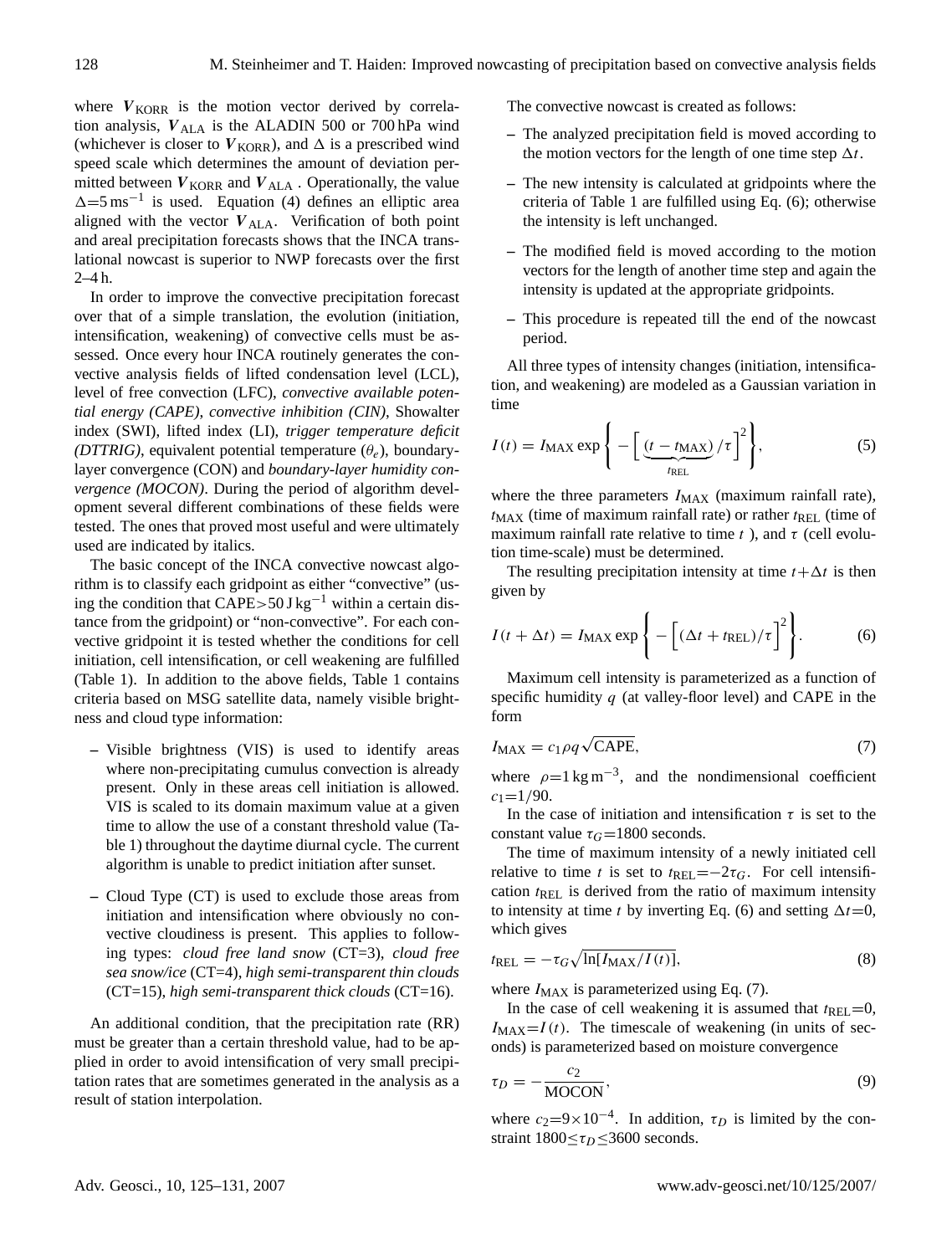where  $V_{KORR}$  is the motion vector derived by correlation analysis,  $V_{\text{ALA}}$  is the ALADIN 500 or 700 hPa wind (whichever is closer to  $V_{KORR}$ ), and  $\Delta$  is a prescribed wind speed scale which determines the amount of deviation permitted between  $V_{KORR}$  and  $V_{ALA}$  . Operationally, the value  $\Delta = 5$  ms<sup>-1</sup> is used. Equation [\(4\)](#page-2-1) defines an elliptic area aligned with the vector  $V_{\text{ALA}}$ . Verification of both point and areal precipitation forecasts shows that the INCA translational nowcast is superior to NWP forecasts over the first 2–4 h.

In order to improve the convective precipitation forecast over that of a simple translation, the evolution (initiation, intensification, weakening) of convective cells must be assessed. Once every hour INCA routinely generates the convective analysis fields of lifted condensation level (LCL), level of free convection (LFC), *convective available potential energy (CAPE)*, *convective inhibition (CIN)*, Showalter index (SWI), lifted index (LI), *trigger temperature deficit (DTTRIG)*, equivalent potential temperature  $(\theta_e)$ , boundarylayer convergence (CON) and *boundary-layer humidity convergence (MOCON)*. During the period of algorithm development several different combinations of these fields were tested. The ones that proved most useful and were ultimately used are indicated by italics.

The basic concept of the INCA convective nowcast algorithm is to classify each gridpoint as either "convective" (using the condition that CAPE>50 J kg<sup>-1</sup> within a certain distance from the gridpoint) or "non-convective". For each convective gridpoint it is tested whether the conditions for cell initiation, cell intensification, or cell weakening are fulfilled (Table [1\)](#page-2-2). In addition to the above fields, Table [1](#page-2-2) contains criteria based on MSG satellite data, namely visible brightness and cloud type information:

- **–** Visible brightness (VIS) is used to identify areas where non-precipitating cumulus convection is already present. Only in these areas cell initiation is allowed. VIS is scaled to its domain maximum value at a given time to allow the use of a constant threshold value (Table [1\)](#page-2-2) throughout the daytime diurnal cycle. The current algorithm is unable to predict initiation after sunset.
- **–** Cloud Type (CT) is used to exclude those areas from initiation and intensification where obviously no convective cloudiness is present. This applies to following types: *cloud free land snow* (CT=3), *cloud free sea snow/ice* (CT=4), *high semi-transparent thin clouds* (CT=15), *high semi-transparent thick clouds* (CT=16).

An additional condition, that the precipitation rate (RR) must be greater than a certain threshold value, had to be applied in order to avoid intensification of very small precipitation rates that are sometimes generated in the analysis as a result of station interpolation.

The convective nowcast is created as follows:

- **–** The analyzed precipitation field is moved according to the motion vectors for the length of one time step  $\Delta t$ .
- **–** The new intensity is calculated at gridpoints where the criteria of Table [1](#page-2-2) are fulfilled using Eq. [\(6\)](#page-3-0); otherwise the intensity is left unchanged.
- **–** The modified field is moved according to the motion vectors for the length of another time step and again the intensity is updated at the appropriate gridpoints.
- **–** This procedure is repeated till the end of the nowcast period.

All three types of intensity changes (initiation, intensification, and weakening) are modeled as a Gaussian variation in time

$$
I(t) = I_{\text{MAX}} \exp\left\{-\left[\underbrace{(t - t_{\text{MAX}})}_{t_{\text{REL}}}/\tau\right]^2\right\},\tag{5}
$$

where the three parameters  $I_{MAX}$  (maximum rainfall rate),  $t_{MAX}$  (time of maximum rainfall rate) or rather  $t_{REL}$  (time of maximum rainfall rate relative to time t, and  $\tau$  (cell evolution time-scale) must be determined.

The resulting precipitation intensity at time  $t + \Delta t$  is then given by

<span id="page-3-0"></span>
$$
I(t + \Delta t) = I_{\text{MAX}} \exp\left\{-\left[(\Delta t + t_{\text{REL}})/\tau\right]^2\right\}.
$$
 (6)

Maximum cell intensity is parameterized as a function of specific humidity  $q$  (at valley-floor level) and CAPE in the form

<span id="page-3-1"></span>
$$
I_{\text{MAX}} = c_1 \rho q \sqrt{\text{CAPE}},\tag{7}
$$

where  $\rho=1 \text{ kg m}^{-3}$ , and the nondimensional coefficient  $c_1 = 1/90$ .

In the case of initiation and intensification  $\tau$  is set to the constant value  $\tau_G$ =1800 seconds.

The time of maximum intensity of a newly initiated cell relative to time t is set to  $t_{REL}=-2\tau_G$ . For cell intensification  $t_{\text{REL}}$  is derived from the ratio of maximum intensity to intensity at time t by inverting Eq. [\(6\)](#page-3-0) and setting  $\Delta t=0$ , which gives

$$
t_{REL} = -\tau_G \sqrt{\ln[I_{MAX}/I(t)]},\tag{8}
$$

where  $I_{MAX}$  is parameterized using Eq. [\(7\)](#page-3-1).

In the case of cell weakening it is assumed that  $t_{REL}=0$ ,  $I_{MAX}=I(t)$ . The timescale of weakening (in units of seconds) is parameterized based on moisture convergence

$$
\tau_D = -\frac{c_2}{\text{MOCON}},\tag{9}
$$

where  $c_2=9\times10^{-4}$ . In addition,  $\tau_D$  is limited by the constraint  $1800 \le \tau_D \le 3600$  seconds.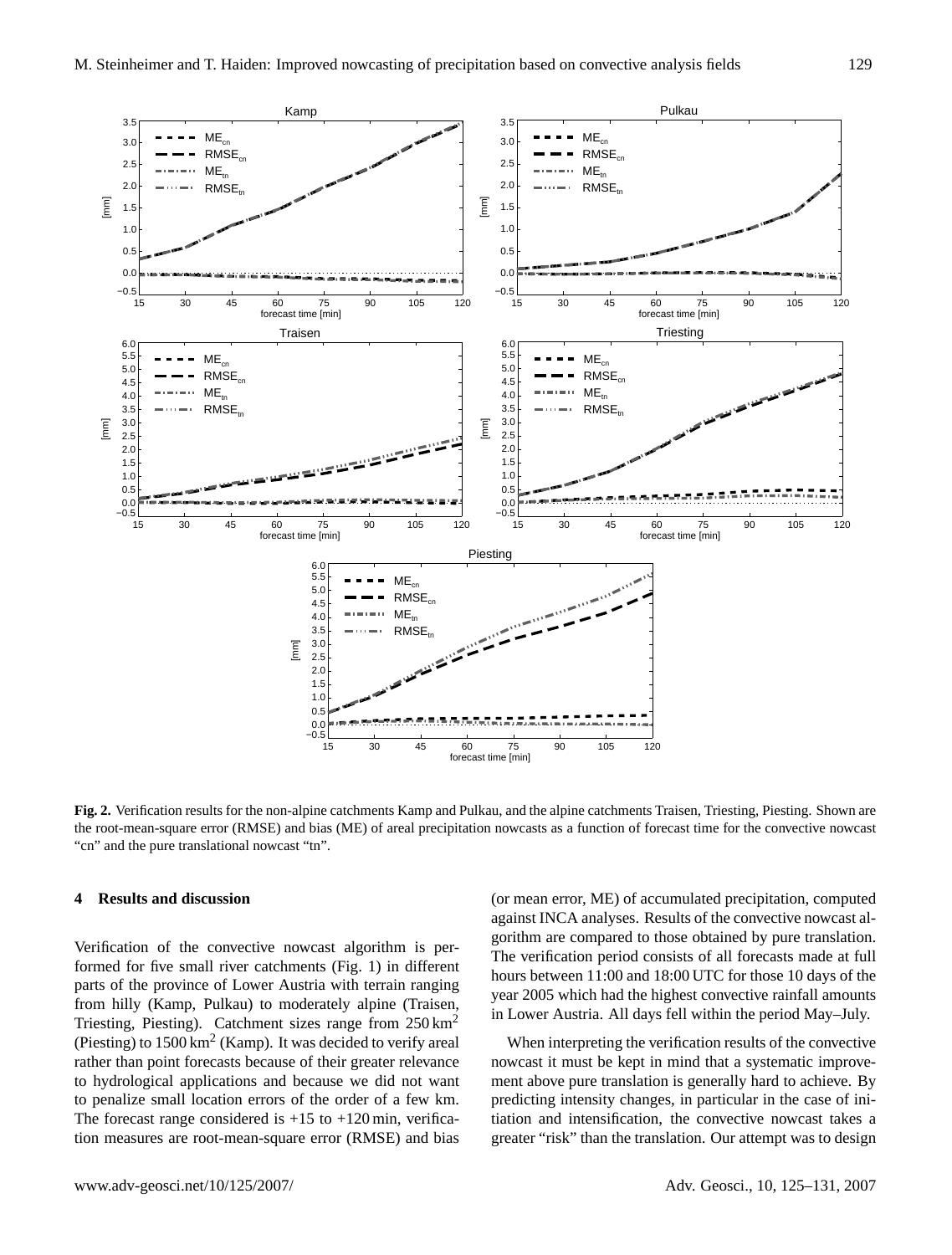

<span id="page-4-1"></span>**Fig. 2.** Verification results for the non-alpine catchments Kamp and Pulkau, and the alpine catchments Traisen, Triesting, Piesting. Shown are the root-mean-square error (RMSE) and bias (ME) of areal precipitation nowcasts as a function of forecast time for the convective nowcast "cn" and the pure translational nowcast "tn".

RMSE

15 30 45 60 75 90 105 120 forecast time [min]

## <span id="page-4-0"></span>**4 Results and discussion**

0.0 0.5 1.0 1.5 2.0 2.5 3.0 3.5

0.0 0.5 1.0 1.5 2.0 2.5 3.0 3.5 4.0 4.5 5.0 5.5 6.0

[mm]

[mm]

Verification of the convective nowcast algorithm is performed for five small river catchments (Fig. [1\)](#page-1-2) in different parts of the province of Lower Austria with terrain ranging from hilly (Kamp, Pulkau) to moderately alpine (Traisen, Triesting, Piesting). Catchment sizes range from 250 km<sup>2</sup> (Piesting) to  $1500 \mathrm{km^2}$  (Kamp). It was decided to verify areal rather than point forecasts because of their greater relevance to hydrological applications and because we did not want to penalize small location errors of the order of a few km. The forecast range considered is  $+15$  to  $+120$  min, verification measures are root-mean-square error (RMSE) and bias

−0.5 0.0  $0.5$ 1.0 1.5 2.0 2.5 3.0 3.5

[mm]

(or mean error, ME) of accumulated precipitation, computed against INCA analyses. Results of the convective nowcast algorithm are compared to those obtained by pure translation. The verification period consists of all forecasts made at full hours between 11:00 and 18:00 UTC for those 10 days of the year 2005 which had the highest convective rainfall amounts in Lower Austria. All days fell within the period May–July.

When interpreting the verification results of the convective nowcast it must be kept in mind that a systematic improvement above pure translation is generally hard to achieve. By predicting intensity changes, in particular in the case of initiation and intensification, the convective nowcast takes a greater "risk" than the translation. Our attempt was to design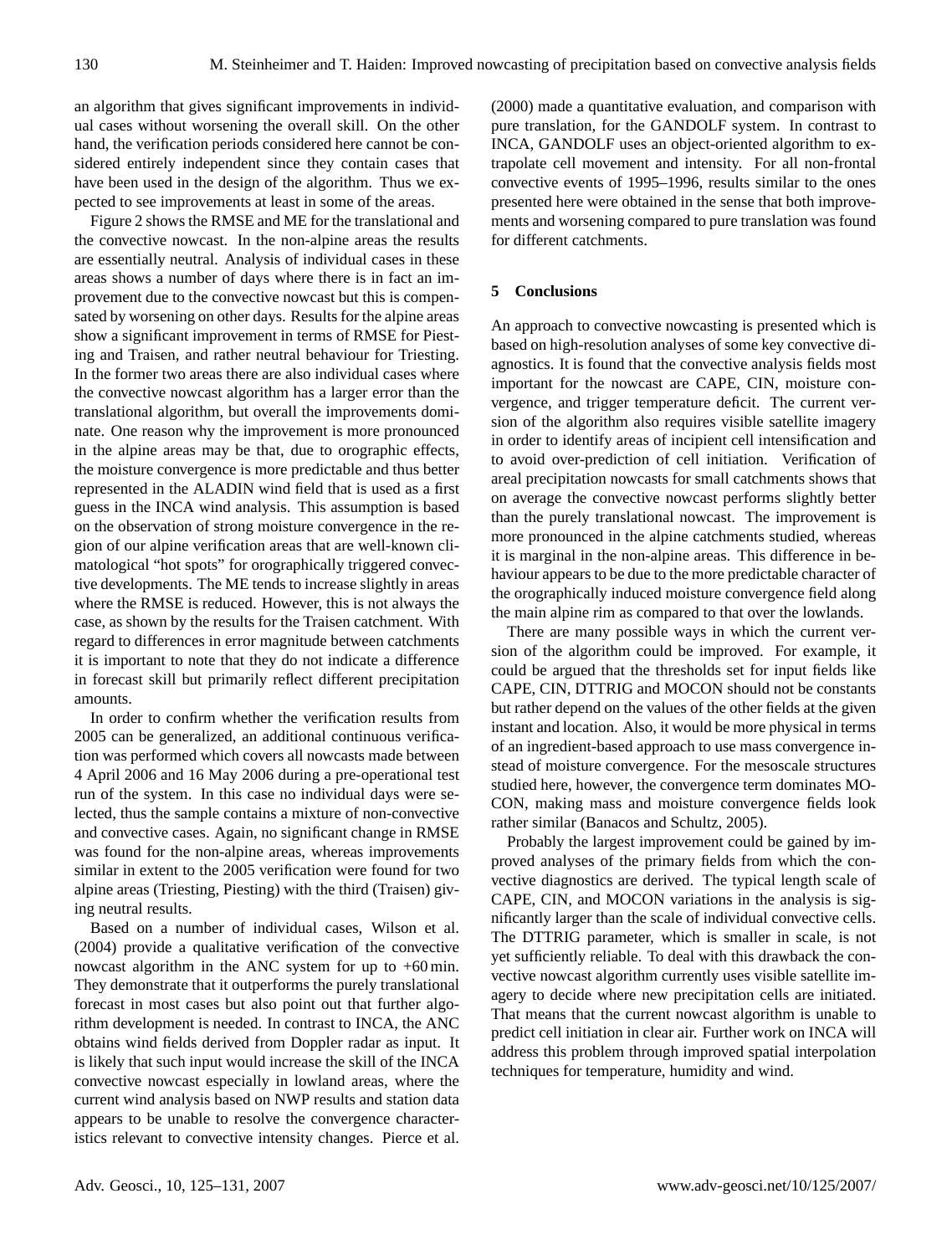an algorithm that gives significant improvements in individual cases without worsening the overall skill. On the other hand, the verification periods considered here cannot be considered entirely independent since they contain cases that have been used in the design of the algorithm. Thus we expected to see improvements at least in some of the areas.

Figure [2](#page-4-1) shows the RMSE and ME for the translational and the convective nowcast. In the non-alpine areas the results are essentially neutral. Analysis of individual cases in these areas shows a number of days where there is in fact an improvement due to the convective nowcast but this is compensated by worsening on other days. Results for the alpine areas show a significant improvement in terms of RMSE for Piesting and Traisen, and rather neutral behaviour for Triesting. In the former two areas there are also individual cases where the convective nowcast algorithm has a larger error than the translational algorithm, but overall the improvements dominate. One reason why the improvement is more pronounced in the alpine areas may be that, due to orographic effects, the moisture convergence is more predictable and thus better represented in the ALADIN wind field that is used as a first guess in the INCA wind analysis. This assumption is based on the observation of strong moisture convergence in the region of our alpine verification areas that are well-known climatological "hot spots" for orographically triggered convective developments. The ME tends to increase slightly in areas where the RMSE is reduced. However, this is not always the case, as shown by the results for the Traisen catchment. With regard to differences in error magnitude between catchments it is important to note that they do not indicate a difference in forecast skill but primarily reflect different precipitation amounts.

In order to confirm whether the verification results from 2005 can be generalized, an additional continuous verification was performed which covers all nowcasts made between 4 April 2006 and 16 May 2006 during a pre-operational test run of the system. In this case no individual days were selected, thus the sample contains a mixture of non-convective and convective cases. Again, no significant change in RMSE was found for the non-alpine areas, whereas improvements similar in extent to the 2005 verification were found for two alpine areas (Triesting, Piesting) with the third (Traisen) giving neutral results.

Based on a number of individual cases, [Wilson et al.](#page-6-8) [\(2004\)](#page-6-8) provide a qualitative verification of the convective nowcast algorithm in the ANC system for up to +60 min. They demonstrate that it outperforms the purely translational forecast in most cases but also point out that further algorithm development is needed. In contrast to INCA, the ANC obtains wind fields derived from Doppler radar as input. It is likely that such input would increase the skill of the INCA convective nowcast especially in lowland areas, where the current wind analysis based on NWP results and station data appears to be unable to resolve the convergence characteristics relevant to convective intensity changes. [Pierce et al.](#page-6-4) [\(2000\)](#page-6-4) made a quantitative evaluation, and comparison with pure translation, for the GANDOLF system. In contrast to INCA, GANDOLF uses an object-oriented algorithm to extrapolate cell movement and intensity. For all non-frontal convective events of 1995–1996, results similar to the ones presented here were obtained in the sense that both improvements and worsening compared to pure translation was found for different catchments.

## **5 Conclusions**

An approach to convective nowcasting is presented which is based on high-resolution analyses of some key convective diagnostics. It is found that the convective analysis fields most important for the nowcast are CAPE, CIN, moisture convergence, and trigger temperature deficit. The current version of the algorithm also requires visible satellite imagery in order to identify areas of incipient cell intensification and to avoid over-prediction of cell initiation. Verification of areal precipitation nowcasts for small catchments shows that on average the convective nowcast performs slightly better than the purely translational nowcast. The improvement is more pronounced in the alpine catchments studied, whereas it is marginal in the non-alpine areas. This difference in behaviour appears to be due to the more predictable character of the orographically induced moisture convergence field along the main alpine rim as compared to that over the lowlands.

There are many possible ways in which the current version of the algorithm could be improved. For example, it could be argued that the thresholds set for input fields like CAPE, CIN, DTTRIG and MOCON should not be constants but rather depend on the values of the other fields at the given instant and location. Also, it would be more physical in terms of an ingredient-based approach to use mass convergence instead of moisture convergence. For the mesoscale structures studied here, however, the convergence term dominates MO-CON, making mass and moisture convergence fields look rather similar [\(Banacos and Schultz,](#page-6-13) [2005\)](#page-6-13).

Probably the largest improvement could be gained by improved analyses of the primary fields from which the convective diagnostics are derived. The typical length scale of CAPE, CIN, and MOCON variations in the analysis is significantly larger than the scale of individual convective cells. The DTTRIG parameter, which is smaller in scale, is not yet sufficiently reliable. To deal with this drawback the convective nowcast algorithm currently uses visible satellite imagery to decide where new precipitation cells are initiated. That means that the current nowcast algorithm is unable to predict cell initiation in clear air. Further work on INCA will address this problem through improved spatial interpolation techniques for temperature, humidity and wind.